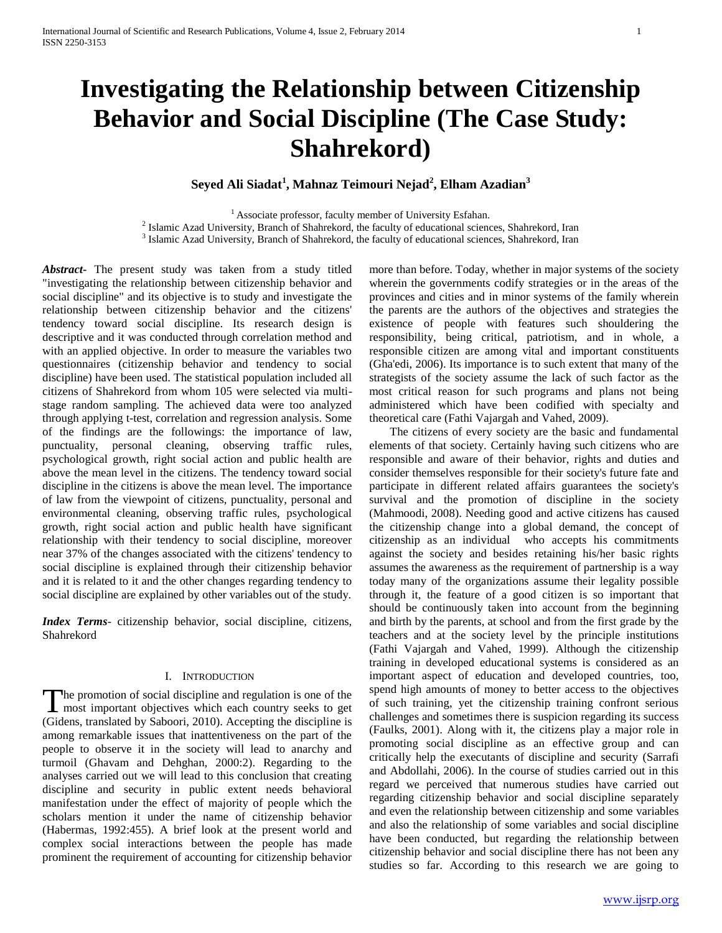# **Investigating the Relationship between Citizenship Behavior and Social Discipline (The Case Study: Shahrekord)**

**Seyed Ali Siadat<sup>1</sup> , Mahnaz Teimouri Nejad<sup>2</sup> , Elham Azadian<sup>3</sup>**

<sup>1</sup> Associate professor, faculty member of University Esfahan.

 $2$  Islamic Azad University, Branch of Shahrekord, the faculty of educational sciences, Shahrekord, Iran

<sup>3</sup> Islamic Azad University, Branch of Shahrekord, the faculty of educational sciences, Shahrekord, Iran

*Abstract***-** The present study was taken from a study titled "investigating the relationship between citizenship behavior and social discipline" and its objective is to study and investigate the relationship between citizenship behavior and the citizens' tendency toward social discipline. Its research design is descriptive and it was conducted through correlation method and with an applied objective. In order to measure the variables two questionnaires (citizenship behavior and tendency to social discipline) have been used. The statistical population included all citizens of Shahrekord from whom 105 were selected via multistage random sampling. The achieved data were too analyzed through applying t-test, correlation and regression analysis. Some of the findings are the followings: the importance of law, punctuality, personal cleaning, observing traffic rules, psychological growth, right social action and public health are above the mean level in the citizens. The tendency toward social discipline in the citizens is above the mean level. The importance of law from the viewpoint of citizens, punctuality, personal and environmental cleaning, observing traffic rules, psychological growth, right social action and public health have significant relationship with their tendency to social discipline, moreover near 37% of the changes associated with the citizens' tendency to social discipline is explained through their citizenship behavior and it is related to it and the other changes regarding tendency to social discipline are explained by other variables out of the study.

*Index Terms*- citizenship behavior, social discipline, citizens, Shahrekord

#### I. INTRODUCTION

The promotion of social discipline and regulation is one of the most important objectives which each country seeks to get **T** most important objectives which each country seeks to get (Gidens, translated by Saboori, 2010). Accepting the discipline is among remarkable issues that inattentiveness on the part of the people to observe it in the society will lead to anarchy and turmoil (Ghavam and Dehghan, 2000:2). Regarding to the analyses carried out we will lead to this conclusion that creating discipline and security in public extent needs behavioral manifestation under the effect of majority of people which the scholars mention it under the name of citizenship behavior (Habermas, 1992:455). A brief look at the present world and complex social interactions between the people has made prominent the requirement of accounting for citizenship behavior more than before. Today, whether in major systems of the society wherein the governments codify strategies or in the areas of the provinces and cities and in minor systems of the family wherein the parents are the authors of the objectives and strategies the existence of people with features such shouldering the responsibility, being critical, patriotism, and in whole, a responsible citizen are among vital and important constituents (Gha'edi, 2006). Its importance is to such extent that many of the strategists of the society assume the lack of such factor as the most critical reason for such programs and plans not being administered which have been codified with specialty and theoretical care (Fathi Vajargah and Vahed, 2009).

 The citizens of every society are the basic and fundamental elements of that society. Certainly having such citizens who are responsible and aware of their behavior, rights and duties and consider themselves responsible for their society's future fate and participate in different related affairs guarantees the society's survival and the promotion of discipline in the society (Mahmoodi, 2008). Needing good and active citizens has caused the citizenship change into a global demand, the concept of citizenship as an individual who accepts his commitments against the society and besides retaining his/her basic rights assumes the awareness as the requirement of partnership is a way today many of the organizations assume their legality possible through it, the feature of a good citizen is so important that should be continuously taken into account from the beginning and birth by the parents, at school and from the first grade by the teachers and at the society level by the principle institutions (Fathi Vajargah and Vahed, 1999). Although the citizenship training in developed educational systems is considered as an important aspect of education and developed countries, too, spend high amounts of money to better access to the objectives of such training, yet the citizenship training confront serious challenges and sometimes there is suspicion regarding its success (Faulks, 2001). Along with it, the citizens play a major role in promoting social discipline as an effective group and can critically help the executants of discipline and security (Sarrafi and Abdollahi, 2006). In the course of studies carried out in this regard we perceived that numerous studies have carried out regarding citizenship behavior and social discipline separately and even the relationship between citizenship and some variables and also the relationship of some variables and social discipline have been conducted, but regarding the relationship between citizenship behavior and social discipline there has not been any studies so far. According to this research we are going to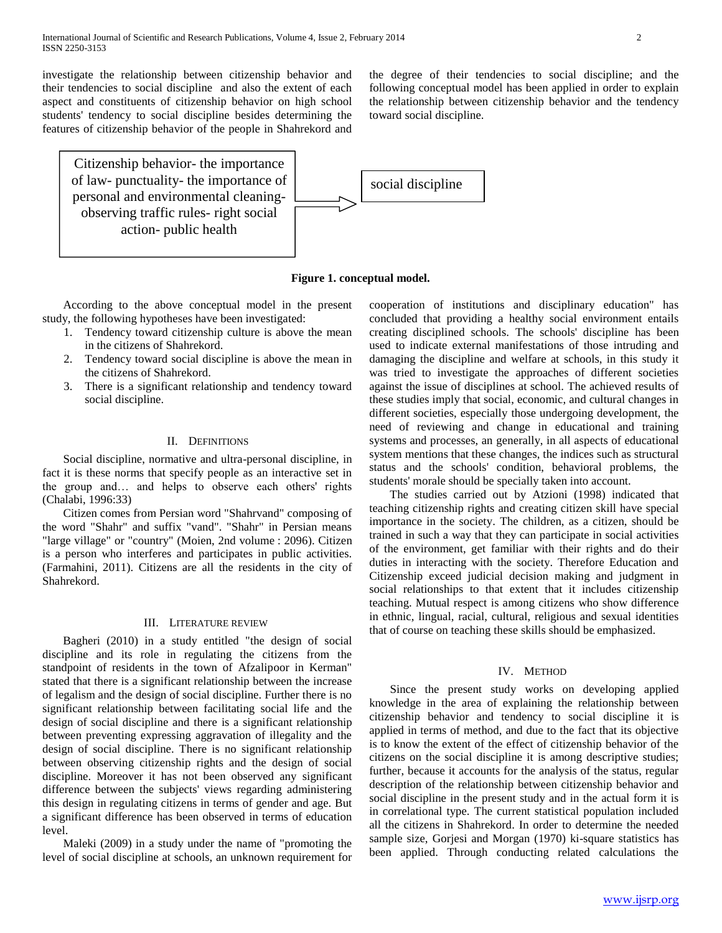investigate the relationship between citizenship behavior and their tendencies to social discipline and also the extent of each aspect and constituents of citizenship behavior on high school students' tendency to social discipline besides determining the features of citizenship behavior of the people in Shahrekord and

Citizenship behavior- the importance of law- punctuality- the importance of personal and environmental cleaningobserving traffic rules- right social action- public health

the degree of their tendencies to social discipline; and the following conceptual model has been applied in order to explain the relationship between citizenship behavior and the tendency toward social discipline.



**Figure 1. conceptual model.**

 According to the above conceptual model in the present study, the following hypotheses have been investigated:

- 1. Tendency toward citizenship culture is above the mean in the citizens of Shahrekord.
- 2. Tendency toward social discipline is above the mean in the citizens of Shahrekord.
- 3. There is a significant relationship and tendency toward social discipline.

#### II. DEFINITIONS

 Social discipline, normative and ultra-personal discipline, in fact it is these norms that specify people as an interactive set in the group and… and helps to observe each others' rights (Chalabi, 1996:33)

 Citizen comes from Persian word "Shahrvand" composing of the word "Shahr" and suffix "vand". "Shahr" in Persian means "large village" or "country" (Moien, 2nd volume : 2096). Citizen is a person who interferes and participates in public activities. (Farmahini, 2011). Citizens are all the residents in the city of Shahrekord.

#### III. LITERATURE REVIEW

 Bagheri (2010) in a study entitled "the design of social discipline and its role in regulating the citizens from the standpoint of residents in the town of Afzalipoor in Kerman" stated that there is a significant relationship between the increase of legalism and the design of social discipline. Further there is no significant relationship between facilitating social life and the design of social discipline and there is a significant relationship between preventing expressing aggravation of illegality and the design of social discipline. There is no significant relationship between observing citizenship rights and the design of social discipline. Moreover it has not been observed any significant difference between the subjects' views regarding administering this design in regulating citizens in terms of gender and age. But a significant difference has been observed in terms of education level.

 Maleki (2009) in a study under the name of "promoting the level of social discipline at schools, an unknown requirement for cooperation of institutions and disciplinary education" has concluded that providing a healthy social environment entails creating disciplined schools. The schools' discipline has been used to indicate external manifestations of those intruding and damaging the discipline and welfare at schools, in this study it was tried to investigate the approaches of different societies against the issue of disciplines at school. The achieved results of these studies imply that social, economic, and cultural changes in different societies, especially those undergoing development, the need of reviewing and change in educational and training systems and processes, an generally, in all aspects of educational system mentions that these changes, the indices such as structural status and the schools' condition, behavioral problems, the students' morale should be specially taken into account.

 The studies carried out by Atzioni (1998) indicated that teaching citizenship rights and creating citizen skill have special importance in the society. The children, as a citizen, should be trained in such a way that they can participate in social activities of the environment, get familiar with their rights and do their duties in interacting with the society. Therefore Education and Citizenship exceed judicial decision making and judgment in social relationships to that extent that it includes citizenship teaching. Mutual respect is among citizens who show difference in ethnic, lingual, racial, cultural, religious and sexual identities that of course on teaching these skills should be emphasized.

#### IV. METHOD

 Since the present study works on developing applied knowledge in the area of explaining the relationship between citizenship behavior and tendency to social discipline it is applied in terms of method, and due to the fact that its objective is to know the extent of the effect of citizenship behavior of the citizens on the social discipline it is among descriptive studies; further, because it accounts for the analysis of the status, regular description of the relationship between citizenship behavior and social discipline in the present study and in the actual form it is in correlational type. The current statistical population included all the citizens in Shahrekord. In order to determine the needed sample size, Gorjesi and Morgan (1970) ki-square statistics has been applied. Through conducting related calculations the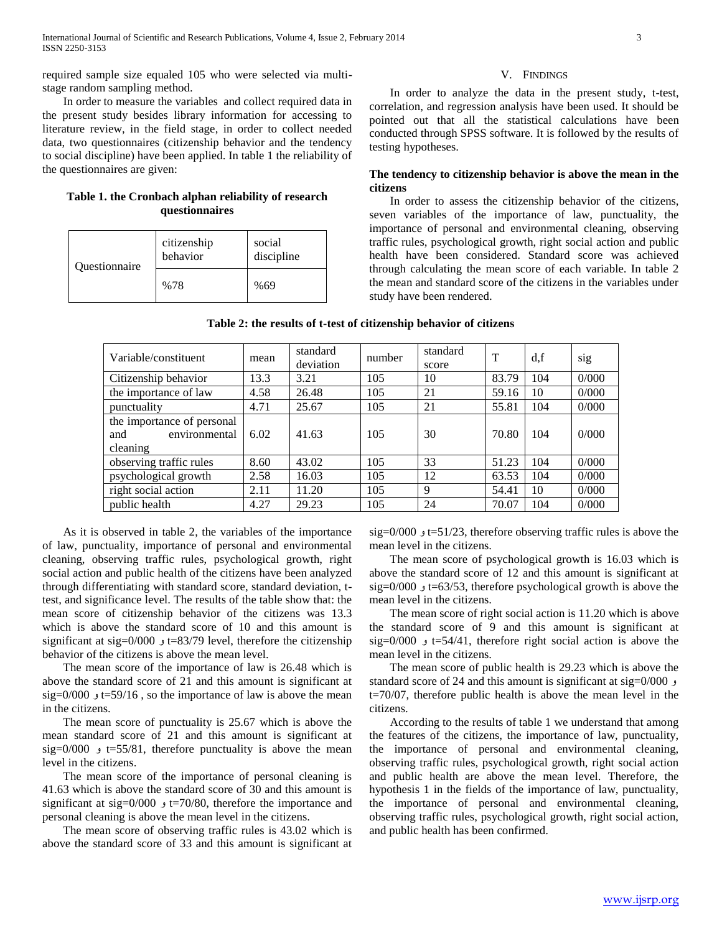required sample size equaled 105 who were selected via multistage random sampling method.

 In order to measure the variables and collect required data in the present study besides library information for accessing to literature review, in the field stage, in order to collect needed data, two questionnaires (citizenship behavior and the tendency to social discipline) have been applied. In table 1 the reliability of the questionnaires are given:

#### **Table 1. the Cronbach alphan reliability of research questionnaires**

| <b>Ouestionnaire</b> | citizenship<br>behavior | social<br>discipline |
|----------------------|-------------------------|----------------------|
|                      | %78                     | %69                  |

#### V. FINDINGS

 In order to analyze the data in the present study, t-test, correlation, and regression analysis have been used. It should be pointed out that all the statistical calculations have been conducted through SPSS software. It is followed by the results of testing hypotheses.

#### **The tendency to citizenship behavior is above the mean in the citizens**

 In order to assess the citizenship behavior of the citizens, seven variables of the importance of law, punctuality, the importance of personal and environmental cleaning, observing traffic rules, psychological growth, right social action and public health have been considered. Standard score was achieved through calculating the mean score of each variable. In table 2 the mean and standard score of the citizens in the variables under study have been rendered.

| Variable/constituent                                           | mean | standard<br>deviation | number | standard<br>score | T     | d.f | sig   |
|----------------------------------------------------------------|------|-----------------------|--------|-------------------|-------|-----|-------|
| Citizenship behavior                                           | 13.3 | 3.21                  | 105    | 10                | 83.79 | 104 | 0/000 |
| the importance of law                                          | 4.58 | 26.48                 | 105    | 21                | 59.16 | 10  | 0/000 |
| punctuality                                                    | 4.71 | 25.67                 | 105    | 21                | 55.81 | 104 | 0/000 |
| the importance of personal<br>environmental<br>and<br>cleaning | 6.02 | 41.63                 | 105    | 30                | 70.80 | 104 | 0/000 |
| observing traffic rules                                        | 8.60 | 43.02                 | 105    | 33                | 51.23 | 104 | 0/000 |
| psychological growth                                           | 2.58 | 16.03                 | 105    | 12                | 63.53 | 104 | 0/000 |
| right social action                                            | 2.11 | 11.20                 | 105    | 9                 | 54.41 | 10  | 0/000 |
| public health                                                  | 4.27 | 29.23                 | 105    | 24                | 70.07 | 104 | 0/000 |

 As it is observed in table 2, the variables of the importance of law, punctuality, importance of personal and environmental cleaning, observing traffic rules, psychological growth, right social action and public health of the citizens have been analyzed through differentiating with standard score, standard deviation, ttest, and significance level. The results of the table show that: the mean score of citizenship behavior of the citizens was 13.3 which is above the standard score of 10 and this amount is significant at sig=0/000 و t=83/79 level, therefore the citizenship behavior of the citizens is above the mean level.

 The mean score of the importance of law is 26.48 which is above the standard score of 21 and this amount is significant at sig=0/000  $t=59/16$ , so the importance of law is above the mean in the citizens.

 The mean score of punctuality is 25.67 which is above the mean standard score of 21 and this amount is significant at sig=0/000  $t=55/81$ , therefore punctuality is above the mean level in the citizens.

 The mean score of the importance of personal cleaning is 41.63 which is above the standard score of 30 and this amount is significant at sig=0/000 و t=70/80, therefore the importance and personal cleaning is above the mean level in the citizens.

 The mean score of observing traffic rules is 43.02 which is above the standard score of 33 and this amount is significant at sig=0/000 و t=51/23, therefore observing traffic rules is above the mean level in the citizens.

 The mean score of psychological growth is 16.03 which is above the standard score of 12 and this amount is significant at sig=0/000  $t=63/53$ , therefore psychological growth is above the mean level in the citizens.

 The mean score of right social action is 11.20 which is above the standard score of 9 and this amount is significant at sig=0/000 و t=54/41, therefore right social action is above the mean level in the citizens.

 The mean score of public health is 29.23 which is above the standard score of 24 and this amount is significant at sig=0/000 و t=70/07, therefore public health is above the mean level in the citizens.

 According to the results of table 1 we understand that among the features of the citizens, the importance of law, punctuality, the importance of personal and environmental cleaning, observing traffic rules, psychological growth, right social action and public health are above the mean level. Therefore, the hypothesis 1 in the fields of the importance of law, punctuality, the importance of personal and environmental cleaning, observing traffic rules, psychological growth, right social action, and public health has been confirmed.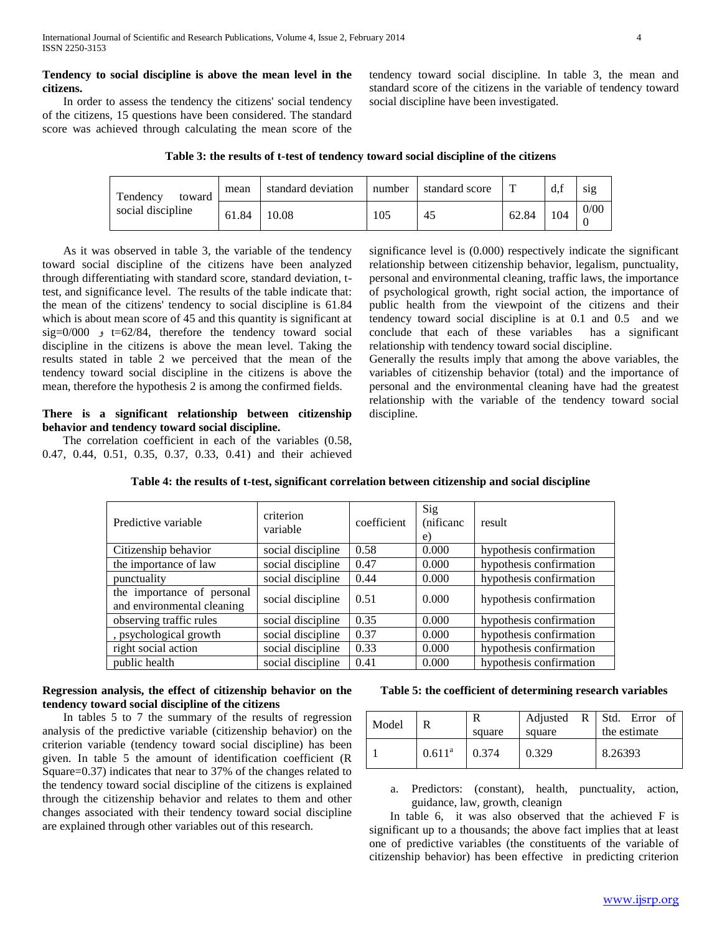## **Tendency to social discipline is above the mean level in the citizens.**

 In order to assess the tendency the citizens' social tendency of the citizens, 15 questions have been considered. The standard score was achieved through calculating the mean score of the

tendency toward social discipline. In table 3, the mean and standard score of the citizens in the variable of tendency toward social discipline have been investigated.

| Table 3: the results of t-test of tendency toward social discipline of the citizens |  |  |  |  |  |  |
|-------------------------------------------------------------------------------------|--|--|--|--|--|--|
|                                                                                     |  |  |  |  |  |  |

| Tendency<br>toward | mean  | standard deviation | number | standard score | <b>T</b> | $d_{\cdot}$ | sig  |
|--------------------|-------|--------------------|--------|----------------|----------|-------------|------|
| social discipline  | 61.84 | 10.08              | 105    | 45             | 62.84    | 104         | 0/00 |

 As it was observed in table 3, the variable of the tendency toward social discipline of the citizens have been analyzed through differentiating with standard score, standard deviation, ttest, and significance level. The results of the table indicate that: the mean of the citizens' tendency to social discipline is 61.84 which is about mean score of 45 and this quantity is significant at sig=0/000  $t=62/84$ , therefore the tendency toward social discipline in the citizens is above the mean level. Taking the results stated in table 2 we perceived that the mean of the tendency toward social discipline in the citizens is above the mean, therefore the hypothesis 2 is among the confirmed fields.

## **There is a significant relationship between citizenship behavior and tendency toward social discipline.**

 The correlation coefficient in each of the variables (0.58, 0.47, 0.44, 0.51, 0.35, 0.37, 0.33, 0.41) and their achieved significance level is (0.000) respectively indicate the significant relationship between citizenship behavior, legalism, punctuality, personal and environmental cleaning, traffic laws, the importance of psychological growth, right social action, the importance of public health from the viewpoint of the citizens and their tendency toward social discipline is at 0.1 and 0.5 and we conclude that each of these variables has a significant relationship with tendency toward social discipline.

Generally the results imply that among the above variables, the variables of citizenship behavior (total) and the importance of personal and the environmental cleaning have had the greatest relationship with the variable of the tendency toward social discipline.

| Predictive variable                                      | criterion<br>variable | coefficient | Sig<br>(nificanc<br>e) | result                  |
|----------------------------------------------------------|-----------------------|-------------|------------------------|-------------------------|
| Citizenship behavior                                     | social discipline     | 0.58        | 0.000                  | hypothesis confirmation |
| the importance of law                                    | social discipline     | 0.47        | 0.000                  | hypothesis confirmation |
| punctuality                                              | social discipline     | 0.44        | 0.000                  | hypothesis confirmation |
| the importance of personal<br>and environmental cleaning | social discipline     | 0.51        | 0.000                  | hypothesis confirmation |
| observing traffic rules                                  | social discipline     | 0.35        | 0.000                  | hypothesis confirmation |
| , psychological growth                                   | social discipline     | 0.37        | 0.000                  | hypothesis confirmation |
| right social action                                      | social discipline     | 0.33        | 0.000                  | hypothesis confirmation |
| public health                                            | social discipline     | 0.41        | 0.000                  | hypothesis confirmation |

## **Table 4: the results of t-test, significant correlation between citizenship and social discipline**

# **Regression analysis, the effect of citizenship behavior on the tendency toward social discipline of the citizens**

 In tables 5 to 7 the summary of the results of regression analysis of the predictive variable (citizenship behavior) on the criterion variable (tendency toward social discipline) has been given. In table 5 the amount of identification coefficient (R Square=0.37) indicates that near to 37% of the changes related to the tendency toward social discipline of the citizens is explained through the citizenship behavior and relates to them and other changes associated with their tendency toward social discipline are explained through other variables out of this research.

# **Table 5: the coefficient of determining research variables**

| Model |           | square | square | Adjusted $R$ Std. Error of<br>the estimate |
|-------|-----------|--------|--------|--------------------------------------------|
|       | $0.611^a$ | 0.374  | 0.329  | 8.26393                                    |

a. Predictors: (constant), health, punctuality, action, guidance, law, growth, cleanign

 In table 6, it was also observed that the achieved F is significant up to a thousands; the above fact implies that at least one of predictive variables (the constituents of the variable of citizenship behavior) has been effective in predicting criterion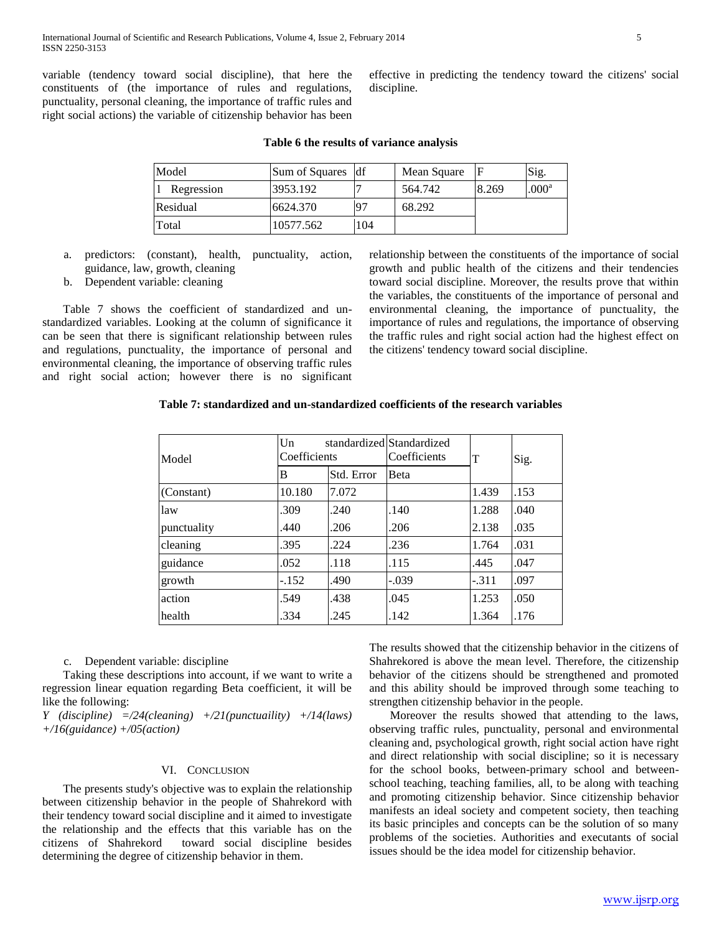variable (tendency toward social discipline), that here the constituents of (the importance of rules and regulations, punctuality, personal cleaning, the importance of traffic rules and right social actions) the variable of citizenship behavior has been

effective in predicting the tendency toward the citizens' social discipline.

| Model      | Sum of Squares df |     | Mean Square |       | Sig.              |
|------------|-------------------|-----|-------------|-------|-------------------|
| Regression | 3953.192          |     | 564.742     | 8.269 | .000 <sup>a</sup> |
| Residual   | 6624.370          | ۰۵7 | 68.292      |       |                   |
| Total      | 10577.562         | 104 |             |       |                   |

## **Table 6 the results of variance analysis**

- a. predictors: (constant), health, punctuality, action, guidance, law, growth, cleaning
- b. Dependent variable: cleaning

 Table 7 shows the coefficient of standardized and unstandardized variables. Looking at the column of significance it can be seen that there is significant relationship between rules and regulations, punctuality, the importance of personal and environmental cleaning, the importance of observing traffic rules and right social action; however there is no significant relationship between the constituents of the importance of social growth and public health of the citizens and their tendencies toward social discipline. Moreover, the results prove that within the variables, the constituents of the importance of personal and environmental cleaning, the importance of punctuality, the importance of rules and regulations, the importance of observing the traffic rules and right social action had the highest effect on the citizens' tendency toward social discipline.

#### **Table 7: standardized and un-standardized coefficients of the research variables**

| Model       | $_{\text{Un}}$<br>Coefficients |            | standardized Standardized<br>Coefficients | T       | Sig. |  |
|-------------|--------------------------------|------------|-------------------------------------------|---------|------|--|
|             | В                              | Std. Error | <b>B</b> eta                              |         |      |  |
| (Constant)  | 10.180                         | 7.072      |                                           | 1.439   | .153 |  |
| law         | .309                           | .240       | .140                                      | 1.288   | .040 |  |
| punctuality | .440                           | .206       | .206                                      | 2.138   | .035 |  |
| cleaning    | .395                           | .224       | .236                                      | 1.764   | .031 |  |
| guidance    | .052                           | .118       | .115                                      | .445    | .047 |  |
| growth      | $-.152$                        | .490       | $-.039$                                   | $-.311$ | .097 |  |
| action      | .549                           | .438       | .045                                      | 1.253   | .050 |  |
| health      | .334                           | .245       | .142                                      | 1.364   | .176 |  |

c. Dependent variable: discipline

 Taking these descriptions into account, if we want to write a regression linear equation regarding Beta coefficient, it will be like the following:

*Y (discipline) =/24(cleaning) +/21(punctuaility) +/14(laws) +/16(guidance) +/05(action)*

## VI. CONCLUSION

 The presents study's objective was to explain the relationship between citizenship behavior in the people of Shahrekord with their tendency toward social discipline and it aimed to investigate the relationship and the effects that this variable has on the citizens of Shahrekord toward social discipline besides determining the degree of citizenship behavior in them.

The results showed that the citizenship behavior in the citizens of Shahrekored is above the mean level. Therefore, the citizenship behavior of the citizens should be strengthened and promoted and this ability should be improved through some teaching to strengthen citizenship behavior in the people.

 Moreover the results showed that attending to the laws, observing traffic rules, punctuality, personal and environmental cleaning and, psychological growth, right social action have right and direct relationship with social discipline; so it is necessary for the school books, between-primary school and betweenschool teaching, teaching families, all, to be along with teaching and promoting citizenship behavior. Since citizenship behavior manifests an ideal society and competent society, then teaching its basic principles and concepts can be the solution of so many problems of the societies. Authorities and executants of social issues should be the idea model for citizenship behavior.